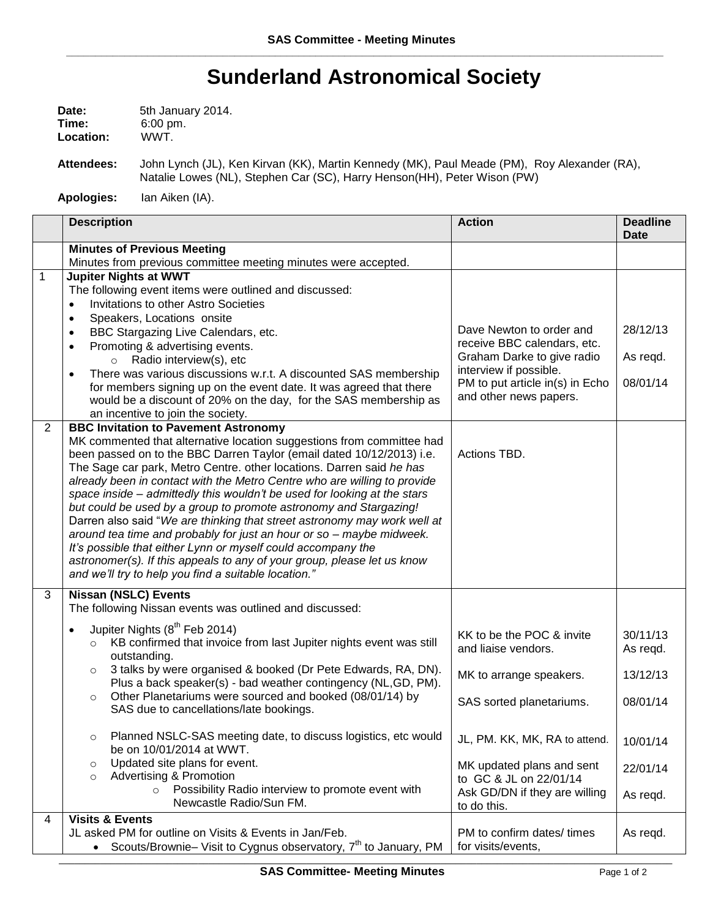## **Sunderland Astronomical Society**

| Date:     | 5th January 2014.   |  |
|-----------|---------------------|--|
| Time:     | $6:00 \text{ pm}$ . |  |
| Location: | WWT.                |  |

**Attendees:** John Lynch (JL), Ken Kirvan (KK), Martin Kennedy (MK), Paul Meade (PM), Roy Alexander (RA), Natalie Lowes (NL), Stephen Car (SC), Harry Henson(HH), Peter Wison (PW)

**Apologies:** Ian Aiken (IA).

|              | <b>Description</b>                                                                                                                                                                                                                                                                                                                                                                                                                                                                                                                                                                                                                                                                                                                                                                                                                                        | <b>Action</b>                                                                                                                                                                | <b>Deadline</b><br><b>Date</b>   |
|--------------|-----------------------------------------------------------------------------------------------------------------------------------------------------------------------------------------------------------------------------------------------------------------------------------------------------------------------------------------------------------------------------------------------------------------------------------------------------------------------------------------------------------------------------------------------------------------------------------------------------------------------------------------------------------------------------------------------------------------------------------------------------------------------------------------------------------------------------------------------------------|------------------------------------------------------------------------------------------------------------------------------------------------------------------------------|----------------------------------|
|              | <b>Minutes of Previous Meeting</b><br>Minutes from previous committee meeting minutes were accepted.                                                                                                                                                                                                                                                                                                                                                                                                                                                                                                                                                                                                                                                                                                                                                      |                                                                                                                                                                              |                                  |
| $\mathbf{1}$ | <b>Jupiter Nights at WWT</b><br>The following event items were outlined and discussed:<br>Invitations to other Astro Societies<br>Speakers, Locations onsite<br>$\bullet$<br>BBC Stargazing Live Calendars, etc.<br>$\bullet$<br>Promoting & advertising events.<br>$\bullet$<br>$\circ$ Radio interview(s), etc<br>There was various discussions w.r.t. A discounted SAS membership<br>$\bullet$<br>for members signing up on the event date. It was agreed that there<br>would be a discount of 20% on the day, for the SAS membership as<br>an incentive to join the society.                                                                                                                                                                                                                                                                          | Dave Newton to order and<br>receive BBC calendars, etc.<br>Graham Darke to give radio<br>interview if possible.<br>PM to put article in(s) in Echo<br>and other news papers. | 28/12/13<br>As regd.<br>08/01/14 |
| 2            | <b>BBC Invitation to Pavement Astronomy</b><br>MK commented that alternative location suggestions from committee had<br>been passed on to the BBC Darren Taylor (email dated 10/12/2013) i.e.<br>The Sage car park, Metro Centre. other locations. Darren said he has<br>already been in contact with the Metro Centre who are willing to provide<br>space inside - admittedly this wouldn't be used for looking at the stars<br>but could be used by a group to promote astronomy and Stargazing!<br>Darren also said "We are thinking that street astronomy may work well at<br>around tea time and probably for just an hour or so - maybe midweek.<br>It's possible that either Lynn or myself could accompany the<br>astronomer(s). If this appeals to any of your group, please let us know<br>and we'll try to help you find a suitable location." | Actions TBD.                                                                                                                                                                 |                                  |
| 3            | <b>Nissan (NSLC) Events</b><br>The following Nissan events was outlined and discussed:                                                                                                                                                                                                                                                                                                                                                                                                                                                                                                                                                                                                                                                                                                                                                                    |                                                                                                                                                                              |                                  |
|              | Jupiter Nights (8 <sup>th</sup> Feb 2014)<br>$\bullet$<br>KB confirmed that invoice from last Jupiter nights event was still<br>$\circ$<br>outstanding.                                                                                                                                                                                                                                                                                                                                                                                                                                                                                                                                                                                                                                                                                                   | KK to be the POC & invite<br>and liaise vendors.                                                                                                                             | 30/11/13<br>As regd.             |
|              | 3 talks by were organised & booked (Dr Pete Edwards, RA, DN).<br>$\circ$<br>Plus a back speaker(s) - bad weather contingency (NL,GD, PM).                                                                                                                                                                                                                                                                                                                                                                                                                                                                                                                                                                                                                                                                                                                 | MK to arrange speakers.                                                                                                                                                      | 13/12/13                         |
|              | Other Planetariums were sourced and booked (08/01/14) by<br>$\circ$<br>SAS due to cancellations/late bookings.                                                                                                                                                                                                                                                                                                                                                                                                                                                                                                                                                                                                                                                                                                                                            | SAS sorted planetariums.                                                                                                                                                     | 08/01/14                         |
|              | Planned NSLC-SAS meeting date, to discuss logistics, etc would<br>$\circ$<br>be on 10/01/2014 at WWT.                                                                                                                                                                                                                                                                                                                                                                                                                                                                                                                                                                                                                                                                                                                                                     | JL, PM. KK, MK, RA to attend.                                                                                                                                                | 10/01/14                         |
|              | Updated site plans for event.<br>$\circ$<br>Advertising & Promotion<br>$\circ$                                                                                                                                                                                                                                                                                                                                                                                                                                                                                                                                                                                                                                                                                                                                                                            | MK updated plans and sent<br>to GC & JL on 22/01/14                                                                                                                          | 22/01/14                         |
|              | Possibility Radio interview to promote event with<br>$\circ$<br>Newcastle Radio/Sun FM.                                                                                                                                                                                                                                                                                                                                                                                                                                                                                                                                                                                                                                                                                                                                                                   | Ask GD/DN if they are willing<br>to do this.                                                                                                                                 | As regd.                         |
| 4            | <b>Visits &amp; Events</b><br>JL asked PM for outline on Visits & Events in Jan/Feb.<br>Scouts/Brownie- Visit to Cygnus observatory, 7 <sup>th</sup> to January, PM                                                                                                                                                                                                                                                                                                                                                                                                                                                                                                                                                                                                                                                                                       | PM to confirm dates/times<br>for visits/events,                                                                                                                              | As regd.                         |